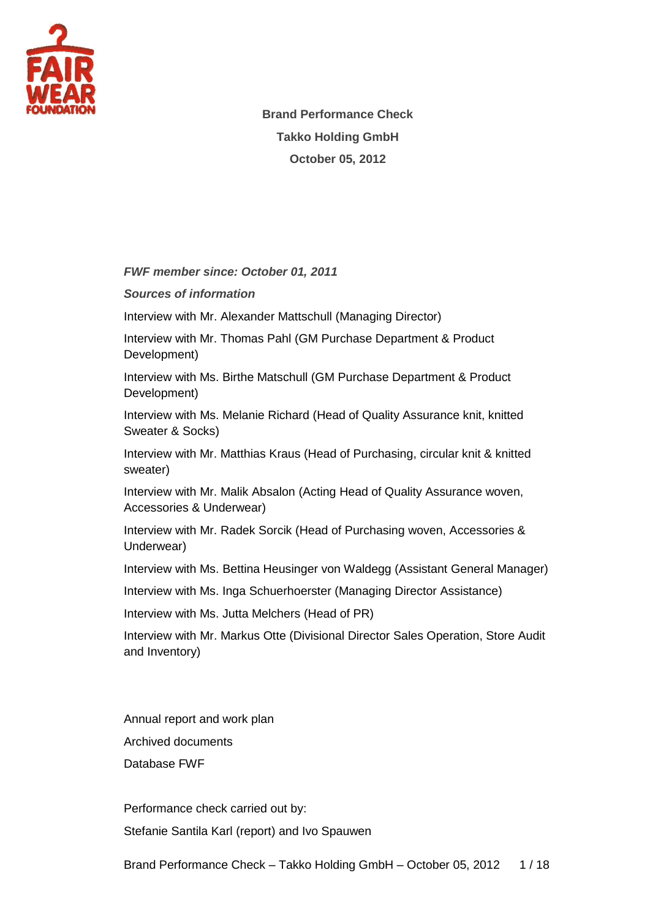

**Brand Performance Check Takko Holding GmbH October 05, 2012**

*FWF member since: October 01, 2011*

*Sources of information*

Interview with Mr. Alexander Mattschull (Managing Director)

Interview with Mr. Thomas Pahl (GM Purchase Department & Product Development)

Interview with Ms. Birthe Matschull (GM Purchase Department & Product Development)

Interview with Ms. Melanie Richard (Head of Quality Assurance knit, knitted Sweater & Socks)

Interview with Mr. Matthias Kraus (Head of Purchasing, circular knit & knitted sweater)

Interview with Mr. Malik Absalon (Acting Head of Quality Assurance woven, Accessories & Underwear)

Interview with Mr. Radek Sorcik (Head of Purchasing woven, Accessories & Underwear)

Interview with Ms. Bettina Heusinger von Waldegg (Assistant General Manager)

Interview with Ms. Inga Schuerhoerster (Managing Director Assistance)

Interview with Ms. Jutta Melchers (Head of PR)

Interview with Mr. Markus Otte (Divisional Director Sales Operation, Store Audit and Inventory)

Annual report and work plan Archived documents Database FWF

Performance check carried out by: Stefanie Santila Karl (report) and Ivo Spauwen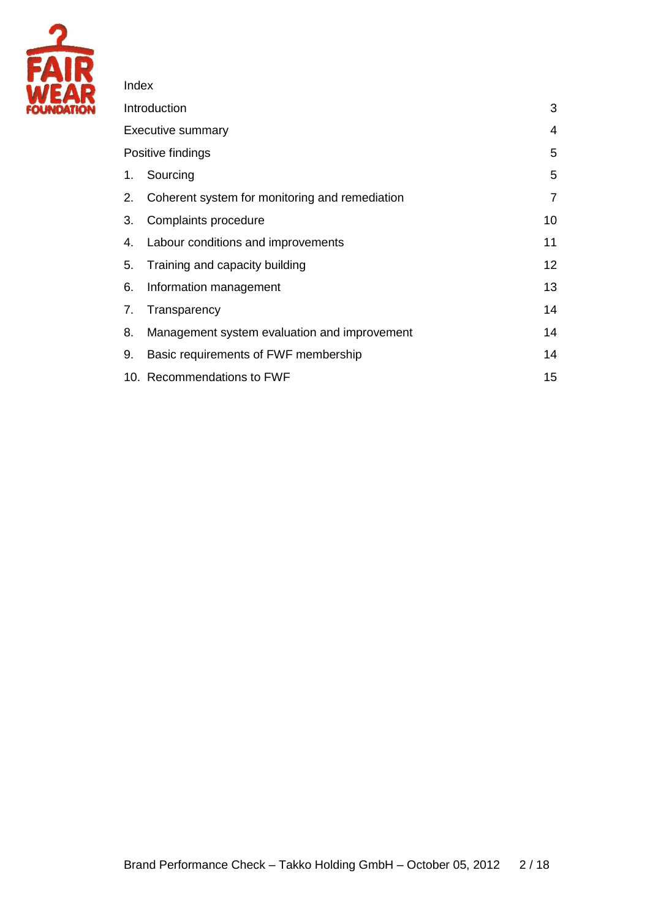

### Index

| Introduction             |                                                |                |
|--------------------------|------------------------------------------------|----------------|
| <b>Executive summary</b> |                                                |                |
| Positive findings        |                                                |                |
| 1.                       | Sourcing                                       | 5              |
| 2.                       | Coherent system for monitoring and remediation | $\overline{7}$ |
| 3.                       | Complaints procedure                           | 10             |
| 4.                       | Labour conditions and improvements             | 11             |
| 5.                       | Training and capacity building                 | 12             |
| 6.                       | Information management                         | 13             |
| 7.                       | Transparency                                   | 14             |
| 8.                       | Management system evaluation and improvement   | 14             |
| 9.                       | Basic requirements of FWF membership           | 14             |
|                          | 10. Recommendations to FWF                     | 15             |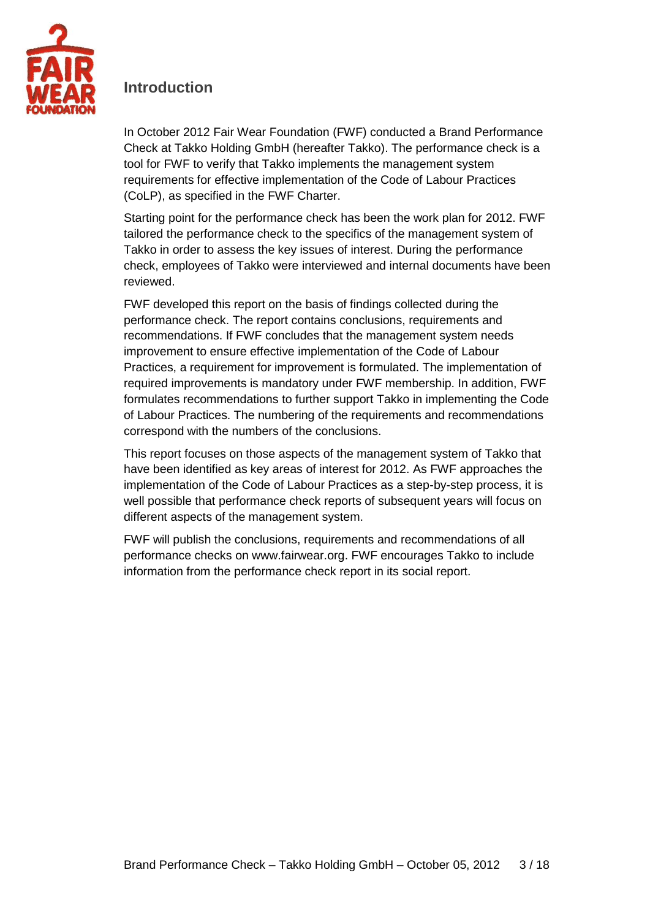

## <span id="page-2-0"></span>**Introduction**

In October 2012 Fair Wear Foundation (FWF) conducted a Brand Performance Check at Takko Holding GmbH (hereafter Takko). The performance check is a tool for FWF to verify that Takko implements the management system requirements for effective implementation of the Code of Labour Practices (CoLP), as specified in the FWF Charter.

Starting point for the performance check has been the work plan for 2012. FWF tailored the performance check to the specifics of the management system of Takko in order to assess the key issues of interest. During the performance check, employees of Takko were interviewed and internal documents have been reviewed.

FWF developed this report on the basis of findings collected during the performance check. The report contains conclusions, requirements and recommendations. If FWF concludes that the management system needs improvement to ensure effective implementation of the Code of Labour Practices, a requirement for improvement is formulated. The implementation of required improvements is mandatory under FWF membership. In addition, FWF formulates recommendations to further support Takko in implementing the Code of Labour Practices. The numbering of the requirements and recommendations correspond with the numbers of the conclusions.

This report focuses on those aspects of the management system of Takko that have been identified as key areas of interest for 2012. As FWF approaches the implementation of the Code of Labour Practices as a step-by-step process, it is well possible that performance check reports of subsequent years will focus on different aspects of the management system.

FWF will publish the conclusions, requirements and recommendations of all performance checks on www.fairwear.org. FWF encourages Takko to include information from the performance check report in its social report.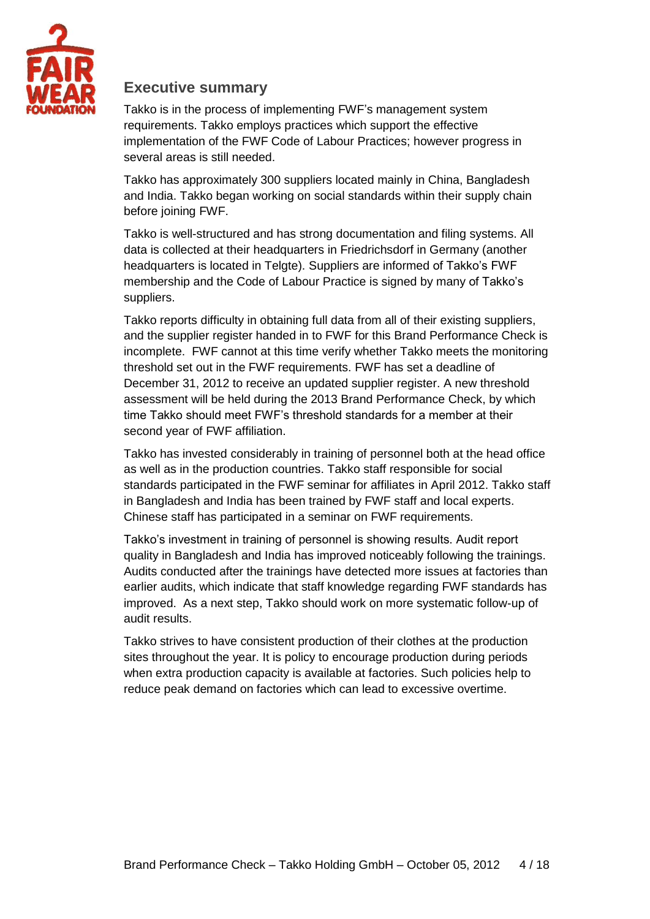

### <span id="page-3-0"></span>**Executive summary**

Takko is in the process of implementing FWF's management system requirements. Takko employs practices which support the effective implementation of the FWF Code of Labour Practices; however progress in several areas is still needed.

Takko has approximately 300 suppliers located mainly in China, Bangladesh and India. Takko began working on social standards within their supply chain before joining FWF.

Takko is well-structured and has strong documentation and filing systems. All data is collected at their headquarters in Friedrichsdorf in Germany (another headquarters is located in Telgte). Suppliers are informed of Takko's FWF membership and the Code of Labour Practice is signed by many of Takko's suppliers.

Takko reports difficulty in obtaining full data from all of their existing suppliers, and the supplier register handed in to FWF for this Brand Performance Check is incomplete. FWF cannot at this time verify whether Takko meets the monitoring threshold set out in the FWF requirements. FWF has set a deadline of December 31, 2012 to receive an updated supplier register. A new threshold assessment will be held during the 2013 Brand Performance Check, by which time Takko should meet FWF's threshold standards for a member at their second year of FWF affiliation.

Takko has invested considerably in training of personnel both at the head office as well as in the production countries. Takko staff responsible for social standards participated in the FWF seminar for affiliates in April 2012. Takko staff in Bangladesh and India has been trained by FWF staff and local experts. Chinese staff has participated in a seminar on FWF requirements.

Takko's investment in training of personnel is showing results. Audit report quality in Bangladesh and India has improved noticeably following the trainings. Audits conducted after the trainings have detected more issues at factories than earlier audits, which indicate that staff knowledge regarding FWF standards has improved. As a next step, Takko should work on more systematic follow-up of audit results.

<span id="page-3-1"></span>Takko strives to have consistent production of their clothes at the production sites throughout the year. It is policy to encourage production during periods when extra production capacity is available at factories. Such policies help to reduce peak demand on factories which can lead to excessive overtime.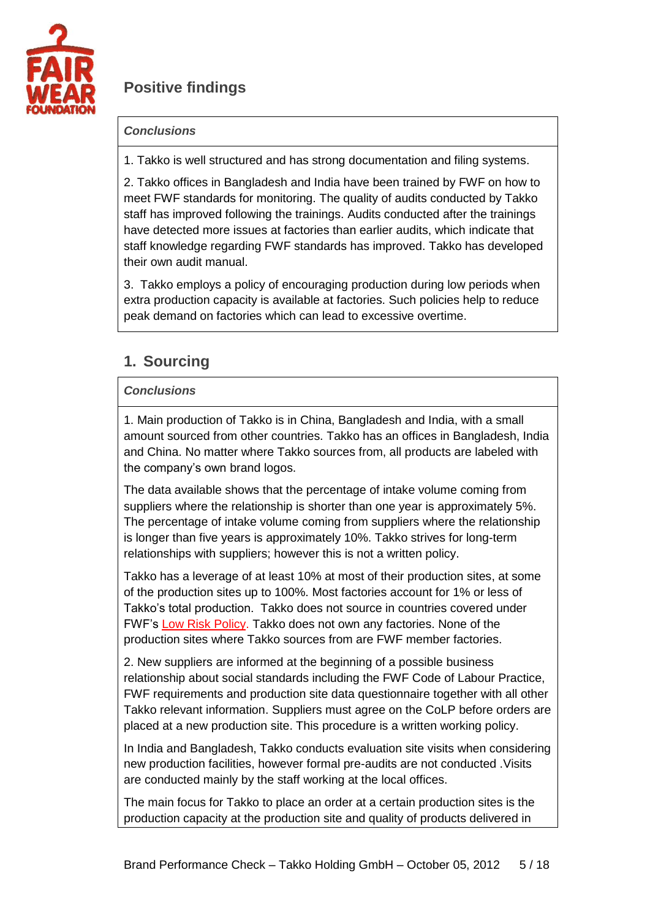

# **Positive findings**

### *Conclusions*

1. Takko is well structured and has strong documentation and filing systems.

2. Takko offices in Bangladesh and India have been trained by FWF on how to meet FWF standards for monitoring. The quality of audits conducted by Takko staff has improved following the trainings. Audits conducted after the trainings have detected more issues at factories than earlier audits, which indicate that staff knowledge regarding FWF standards has improved. Takko has developed their own audit manual.

3. Takko employs a policy of encouraging production during low periods when extra production capacity is available at factories. Such policies help to reduce peak demand on factories which can lead to excessive overtime.

## <span id="page-4-0"></span>**1. Sourcing**

### *Conclusions*

1. Main production of Takko is in China, Bangladesh and India, with a small amount sourced from other countries. Takko has an offices in Bangladesh, India and China. No matter where Takko sources from, all products are labeled with the company's own brand logos.

The data available shows that the percentage of intake volume coming from suppliers where the relationship is shorter than one year is approximately 5%. The percentage of intake volume coming from suppliers where the relationship is longer than five years is approximately 10%. Takko strives for long-term relationships with suppliers; however this is not a written policy.

Takko has a leverage of at least 10% at most of their production sites, at some of the production sites up to 100%. Most factories account for 1% or less of Takko's total production. Takko does not source in countries covered under FWF's [Low Risk Policy.](http://www.fairwear.org/ul/cms/fck-uploaded/documents/companies/ManualsReports/lowriskpolicyfwf-mar2009.pdf) Takko does not own any factories. None of the production sites where Takko sources from are FWF member factories.

2. New suppliers are informed at the beginning of a possible business relationship about social standards including the FWF Code of Labour Practice, FWF requirements and production site data questionnaire together with all other Takko relevant information. Suppliers must agree on the CoLP before orders are placed at a new production site. This procedure is a written working policy.

In India and Bangladesh, Takko conducts evaluation site visits when considering new production facilities, however formal pre-audits are not conducted .Visits are conducted mainly by the staff working at the local offices.

The main focus for Takko to place an order at a certain production sites is the production capacity at the production site and quality of products delivered in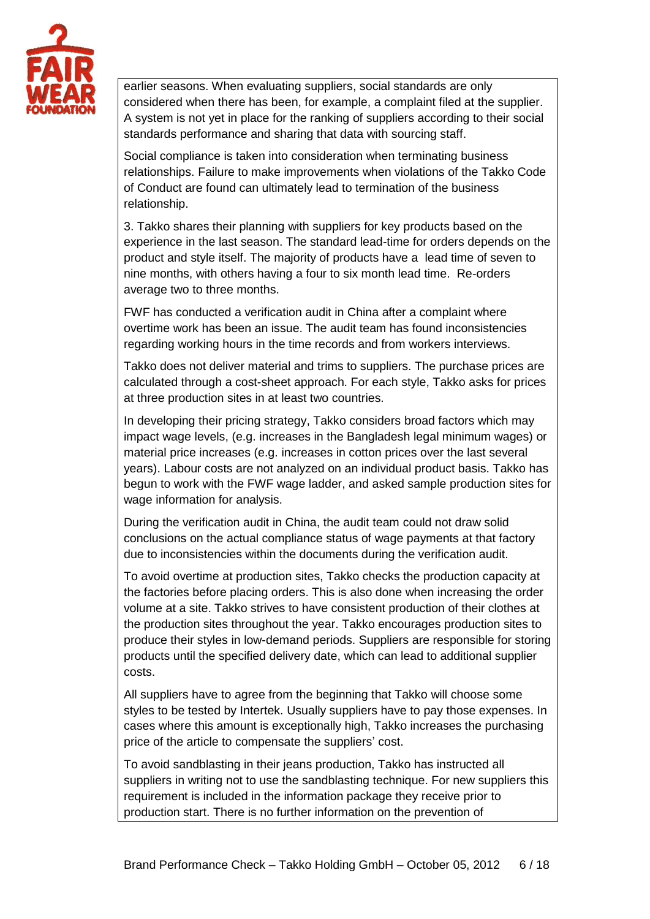

earlier seasons. When evaluating suppliers, social standards are only considered when there has been, for example, a complaint filed at the supplier. A system is not yet in place for the ranking of suppliers according to their social standards performance and sharing that data with sourcing staff.

Social compliance is taken into consideration when terminating business relationships. Failure to make improvements when violations of the Takko Code of Conduct are found can ultimately lead to termination of the business relationship.

3. Takko shares their planning with suppliers for key products based on the experience in the last season. The standard lead-time for orders depends on the product and style itself. The majority of products have a lead time of seven to nine months, with others having a four to six month lead time. Re-orders average two to three months.

FWF has conducted a verification audit in China after a complaint where overtime work has been an issue. The audit team has found inconsistencies regarding working hours in the time records and from workers interviews.

Takko does not deliver material and trims to suppliers. The purchase prices are calculated through a cost-sheet approach. For each style, Takko asks for prices at three production sites in at least two countries.

In developing their pricing strategy, Takko considers broad factors which may impact wage levels, (e.g. increases in the Bangladesh legal minimum wages) or material price increases (e.g. increases in cotton prices over the last several years). Labour costs are not analyzed on an individual product basis. Takko has begun to work with the FWF wage ladder, and asked sample production sites for wage information for analysis.

During the verification audit in China, the audit team could not draw solid conclusions on the actual compliance status of wage payments at that factory due to inconsistencies within the documents during the verification audit.

To avoid overtime at production sites, Takko checks the production capacity at the factories before placing orders. This is also done when increasing the order volume at a site. Takko strives to have consistent production of their clothes at the production sites throughout the year. Takko encourages production sites to produce their styles in low-demand periods. Suppliers are responsible for storing products until the specified delivery date, which can lead to additional supplier costs.

All suppliers have to agree from the beginning that Takko will choose some styles to be tested by Intertek. Usually suppliers have to pay those expenses. In cases where this amount is exceptionally high, Takko increases the purchasing price of the article to compensate the suppliers' cost.

To avoid sandblasting in their jeans production, Takko has instructed all suppliers in writing not to use the sandblasting technique. For new suppliers this requirement is included in the information package they receive prior to production start. There is no further information on the prevention of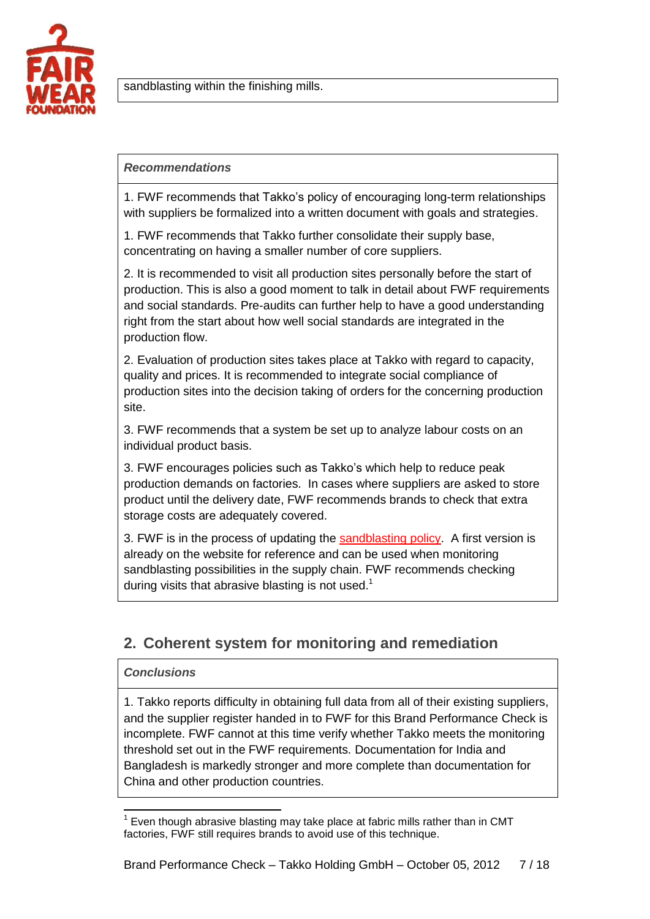

sandblasting within the finishing mills.

#### *Recommendations*

1. FWF recommends that Takko's policy of encouraging long-term relationships with suppliers be formalized into a written document with goals and strategies.

1. FWF recommends that Takko further consolidate their supply base, concentrating on having a smaller number of core suppliers.

2. It is recommended to visit all production sites personally before the start of production. This is also a good moment to talk in detail about FWF requirements and social standards. Pre-audits can further help to have a good understanding right from the start about how well social standards are integrated in the production flow.

2. Evaluation of production sites takes place at Takko with regard to capacity, quality and prices. It is recommended to integrate social compliance of production sites into the decision taking of orders for the concerning production site.

3. FWF recommends that a system be set up to analyze labour costs on an individual product basis.

3. FWF encourages policies such as Takko's which help to reduce peak production demands on factories. In cases where suppliers are asked to store product until the delivery date, FWF recommends brands to check that extra storage costs are adequately covered.

3. FWF is in the process of updating the [sandblasting policy.](http://www.fairwear.org/ul/cms/fck-uploaded/documents/companies/ManualsReports/fwfsandblastingpolicy-jan2011.pdf) A first version is already on the website for reference and can be used when monitoring sandblasting possibilities in the supply chain. FWF recommends checking during visits that abrasive blasting is not used.<sup>1</sup>

## <span id="page-6-0"></span>**2. Coherent system for monitoring and remediation**

### *Conclusions*

1. Takko reports difficulty in obtaining full data from all of their existing suppliers, and the supplier register handed in to FWF for this Brand Performance Check is incomplete. FWF cannot at this time verify whether Takko meets the monitoring threshold set out in the FWF requirements. Documentation for India and Bangladesh is markedly stronger and more complete than documentation for China and other production countries.

 1 Even though abrasive blasting may take place at fabric mills rather than in CMT factories, FWF still requires brands to avoid use of this technique.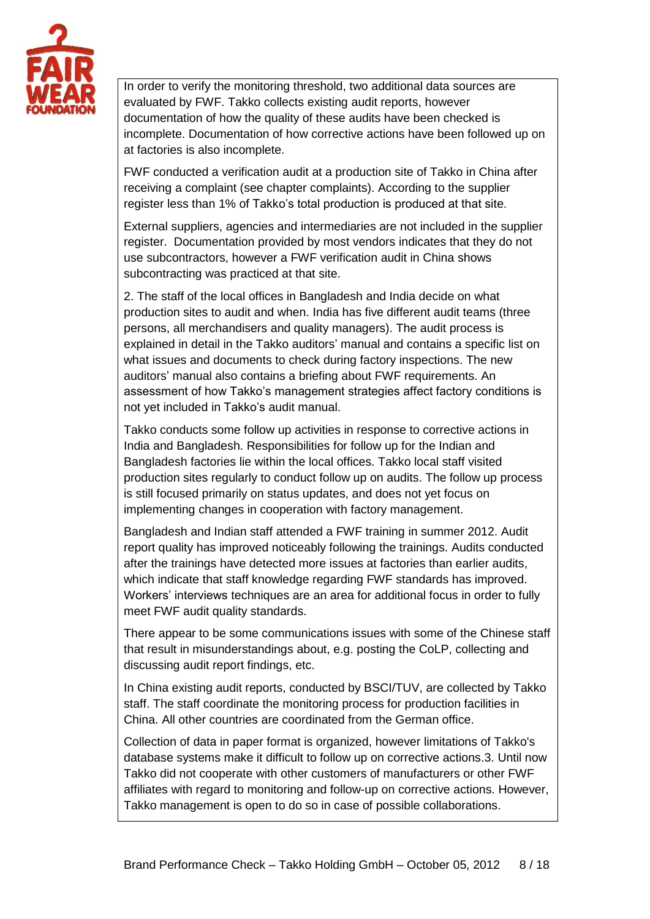

In order to verify the monitoring threshold, two additional data sources are evaluated by FWF. Takko collects existing audit reports, however documentation of how the quality of these audits have been checked is incomplete. Documentation of how corrective actions have been followed up on at factories is also incomplete.

FWF conducted a verification audit at a production site of Takko in China after receiving a complaint (see chapter complaints). According to the supplier register less than 1% of Takko's total production is produced at that site.

External suppliers, agencies and intermediaries are not included in the supplier register. Documentation provided by most vendors indicates that they do not use subcontractors, however a FWF verification audit in China shows subcontracting was practiced at that site.

2. The staff of the local offices in Bangladesh and India decide on what production sites to audit and when. India has five different audit teams (three persons, all merchandisers and quality managers). The audit process is explained in detail in the Takko auditors' manual and contains a specific list on what issues and documents to check during factory inspections. The new auditors' manual also contains a briefing about FWF requirements. An assessment of how Takko's management strategies affect factory conditions is not yet included in Takko's audit manual.

Takko conducts some follow up activities in response to corrective actions in India and Bangladesh. Responsibilities for follow up for the Indian and Bangladesh factories lie within the local offices. Takko local staff visited production sites regularly to conduct follow up on audits. The follow up process is still focused primarily on status updates, and does not yet focus on implementing changes in cooperation with factory management.

Bangladesh and Indian staff attended a FWF training in summer 2012. Audit report quality has improved noticeably following the trainings. Audits conducted after the trainings have detected more issues at factories than earlier audits, which indicate that staff knowledge regarding FWF standards has improved. Workers' interviews techniques are an area for additional focus in order to fully meet FWF audit quality standards.

There appear to be some communications issues with some of the Chinese staff that result in misunderstandings about, e.g. posting the CoLP, collecting and discussing audit report findings, etc.

In China existing audit reports, conducted by BSCI/TUV, are collected by Takko staff. The staff coordinate the monitoring process for production facilities in China. All other countries are coordinated from the German office.

Collection of data in paper format is organized, however limitations of Takko's database systems make it difficult to follow up on corrective actions.3. Until now Takko did not cooperate with other customers of manufacturers or other FWF affiliates with regard to monitoring and follow-up on corrective actions. However, Takko management is open to do so in case of possible collaborations.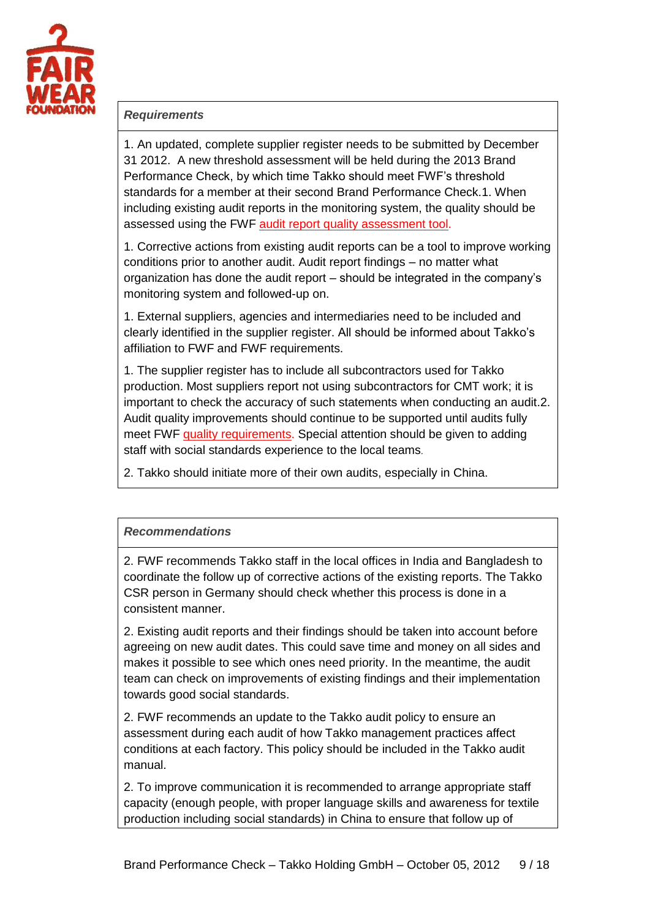

#### *Requirements*

1. An updated, complete supplier register needs to be submitted by December 31 2012. A new threshold assessment will be held during the 2013 Brand Performance Check, by which time Takko should meet FWF's threshold standards for a member at their second Brand Performance Check.1. When including existing audit reports in the monitoring system, the quality should be assessed using the FWF [audit report quality assessment tool.](http://www.fairwear.org/ul/cms/fck-uploaded/documents/companies/ManualsReports/auditqualityassessmenttool.pdf)

1. Corrective actions from existing audit reports can be a tool to improve working conditions prior to another audit. Audit report findings – no matter what organization has done the audit report – should be integrated in the company's monitoring system and followed-up on.

1. External suppliers, agencies and intermediaries need to be included and clearly identified in the supplier register. All should be informed about Takko's affiliation to FWF and FWF requirements.

1. The supplier register has to include all subcontractors used for Takko production. Most suppliers report not using subcontractors for CMT work; it is important to check the accuracy of such statements when conducting an audit.2. Audit quality improvements should continue to be supported until audits fully meet FWF [quality requirements.](http://www.fairwear.org/ul/cms/fck-uploaded/documents/companies/ManualsReports/manualaffiliatesoctober2009.pdf) Special attention should be given to adding staff with social standards experience to the local teams.

2. Takko should initiate more of their own audits, especially in China.

### *Recommendations*

2. FWF recommends Takko staff in the local offices in India and Bangladesh to coordinate the follow up of corrective actions of the existing reports. The Takko CSR person in Germany should check whether this process is done in a consistent manner.

2. Existing audit reports and their findings should be taken into account before agreeing on new audit dates. This could save time and money on all sides and makes it possible to see which ones need priority. In the meantime, the audit team can check on improvements of existing findings and their implementation towards good social standards.

2. FWF recommends an update to the Takko audit policy to ensure an assessment during each audit of how Takko management practices affect conditions at each factory. This policy should be included in the Takko audit manual.

2. To improve communication it is recommended to arrange appropriate staff capacity (enough people, with proper language skills and awareness for textile production including social standards) in China to ensure that follow up of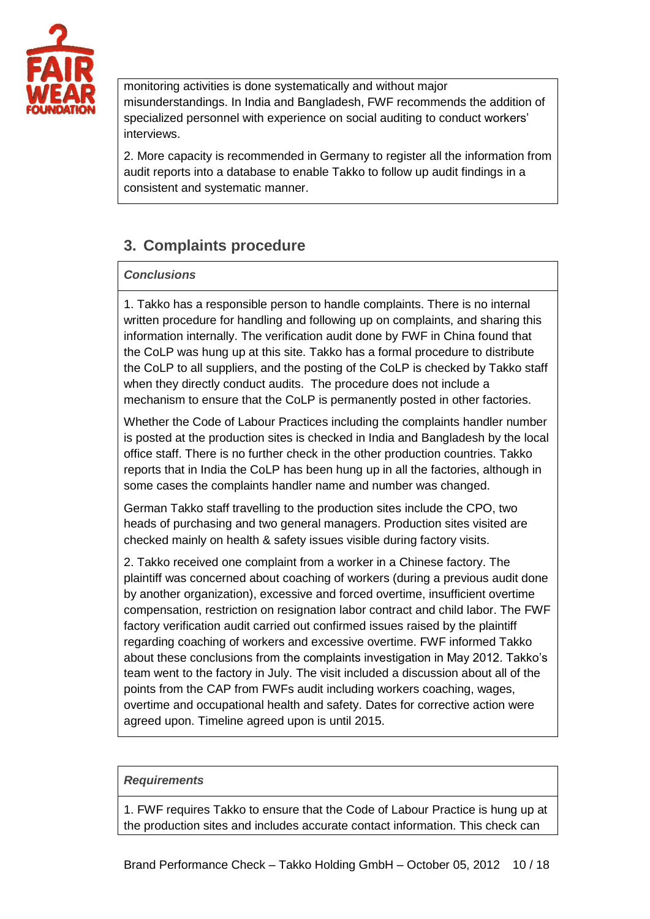

monitoring activities is done systematically and without major misunderstandings. In India and Bangladesh, FWF recommends the addition of specialized personnel with experience on social auditing to conduct workers' interviews.

2. More capacity is recommended in Germany to register all the information from audit reports into a database to enable Takko to follow up audit findings in a consistent and systematic manner.

# <span id="page-9-0"></span>**3. Complaints procedure**

### *Conclusions*

1. Takko has a responsible person to handle complaints. There is no internal written procedure for handling and following up on complaints, and sharing this information internally. The verification audit done by FWF in China found that the CoLP was hung up at this site. Takko has a formal procedure to distribute the CoLP to all suppliers, and the posting of the CoLP is checked by Takko staff when they directly conduct audits. The procedure does not include a mechanism to ensure that the CoLP is permanently posted in other factories.

Whether the Code of Labour Practices including the complaints handler number is posted at the production sites is checked in India and Bangladesh by the local office staff. There is no further check in the other production countries. Takko reports that in India the CoLP has been hung up in all the factories, although in some cases the complaints handler name and number was changed.

German Takko staff travelling to the production sites include the CPO, two heads of purchasing and two general managers. Production sites visited are checked mainly on health & safety issues visible during factory visits.

2. Takko received one complaint from a worker in a Chinese factory. The plaintiff was concerned about coaching of workers (during a previous audit done by another organization), excessive and forced overtime, insufficient overtime compensation, restriction on resignation labor contract and child labor. The FWF factory verification audit carried out confirmed issues raised by the plaintiff regarding coaching of workers and excessive overtime. FWF informed Takko about these conclusions from the complaints investigation in May 2012. Takko's team went to the factory in July. The visit included a discussion about all of the points from the CAP from FWFs audit including workers coaching, wages, overtime and occupational health and safety. Dates for corrective action were agreed upon. Timeline agreed upon is until 2015.

#### *Requirements*

1. FWF requires Takko to ensure that the Code of Labour Practice is hung up at the production sites and includes accurate contact information. This check can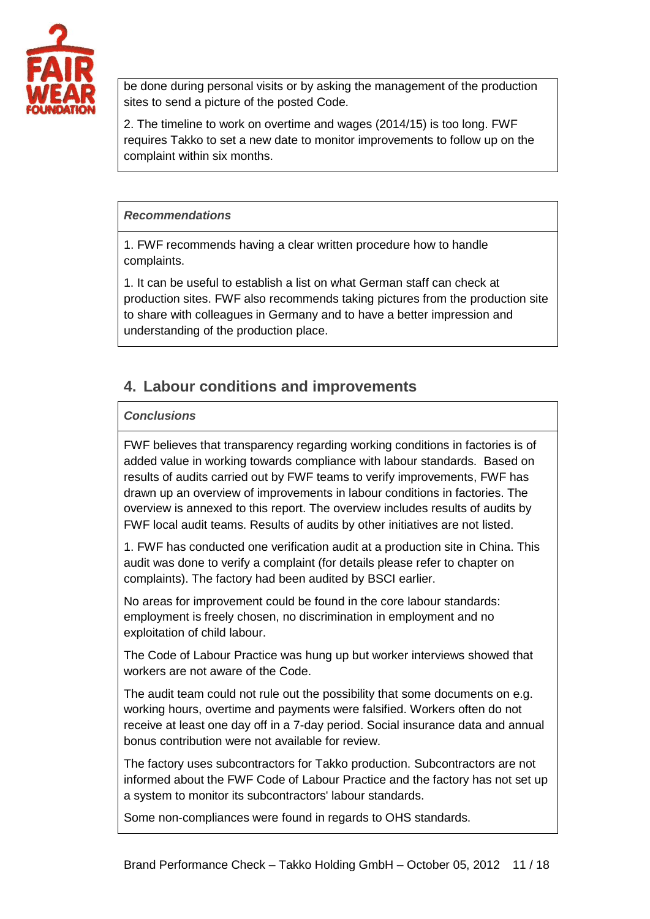

be done during personal visits or by asking the management of the production sites to send a picture of the posted Code.

2. The timeline to work on overtime and wages (2014/15) is too long. FWF requires Takko to set a new date to monitor improvements to follow up on the complaint within six months.

#### *Recommendations*

1. FWF recommends having a clear written procedure how to handle complaints.

1. It can be useful to establish a list on what German staff can check at production sites. FWF also recommends taking pictures from the production site to share with colleagues in Germany and to have a better impression and understanding of the production place.

# <span id="page-10-0"></span>**4. Labour conditions and improvements**

### *Conclusions*

FWF believes that transparency regarding working conditions in factories is of added value in working towards compliance with labour standards. Based on results of audits carried out by FWF teams to verify improvements, FWF has drawn up an overview of improvements in labour conditions in factories. The overview is annexed to this report. The overview includes results of audits by FWF local audit teams. Results of audits by other initiatives are not listed.

1. FWF has conducted one verification audit at a production site in China. This audit was done to verify a complaint (for details please refer to chapter on complaints). The factory had been audited by BSCI earlier.

No areas for improvement could be found in the core labour standards: employment is freely chosen, no discrimination in employment and no exploitation of child labour.

The Code of Labour Practice was hung up but worker interviews showed that workers are not aware of the Code.

The audit team could not rule out the possibility that some documents on e.g. working hours, overtime and payments were falsified. Workers often do not receive at least one day off in a 7-day period. Social insurance data and annual bonus contribution were not available for review.

The factory uses subcontractors for Takko production. Subcontractors are not informed about the FWF Code of Labour Practice and the factory has not set up a system to monitor its subcontractors' labour standards.

Some non-compliances were found in regards to OHS standards.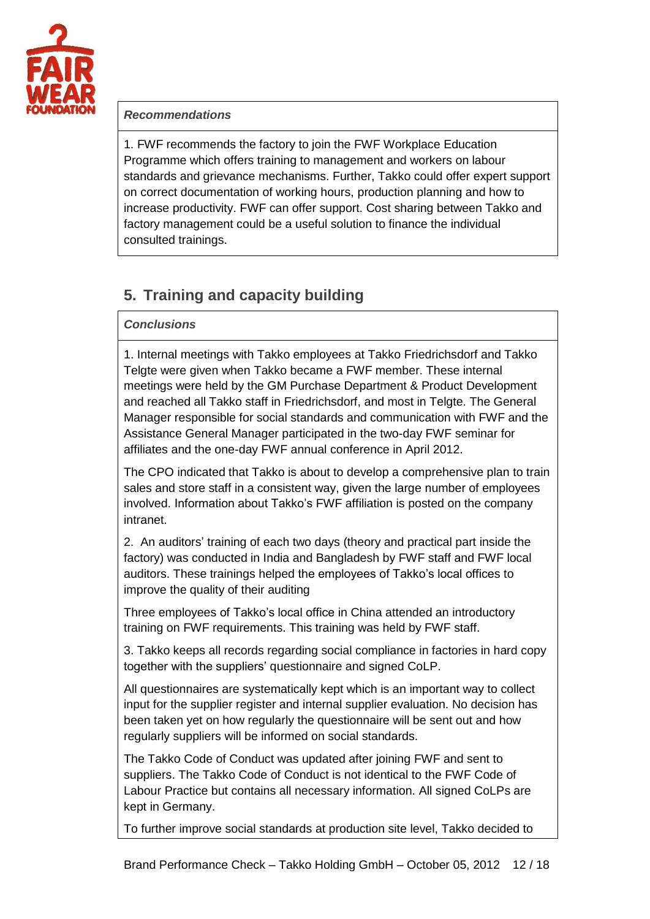

#### *Recommendations*

1. FWF recommends the factory to join the FWF Workplace Education Programme which offers training to management and workers on labour standards and grievance mechanisms. Further, Takko could offer expert support on correct documentation of working hours, production planning and how to increase productivity. FWF can offer support. Cost sharing between Takko and factory management could be a useful solution to finance the individual consulted trainings.

# <span id="page-11-0"></span>**5. Training and capacity building**

#### *Conclusions*

1. Internal meetings with Takko employees at Takko Friedrichsdorf and Takko Telgte were given when Takko became a FWF member. These internal meetings were held by the GM Purchase Department & Product Development and reached all Takko staff in Friedrichsdorf, and most in Telgte. The General Manager responsible for social standards and communication with FWF and the Assistance General Manager participated in the two-day FWF seminar for affiliates and the one-day FWF annual conference in April 2012.

The CPO indicated that Takko is about to develop a comprehensive plan to train sales and store staff in a consistent way, given the large number of employees involved. Information about Takko's FWF affiliation is posted on the company intranet.

2. An auditors' training of each two days (theory and practical part inside the factory) was conducted in India and Bangladesh by FWF staff and FWF local auditors. These trainings helped the employees of Takko's local offices to improve the quality of their auditing

Three employees of Takko's local office in China attended an introductory training on FWF requirements. This training was held by FWF staff.

3. Takko keeps all records regarding social compliance in factories in hard copy together with the suppliers' questionnaire and signed CoLP.

All questionnaires are systematically kept which is an important way to collect input for the supplier register and internal supplier evaluation. No decision has been taken yet on how regularly the questionnaire will be sent out and how regularly suppliers will be informed on social standards.

The Takko Code of Conduct was updated after joining FWF and sent to suppliers. The Takko Code of Conduct is not identical to the FWF Code of Labour Practice but contains all necessary information. All signed CoLPs are kept in Germany.

To further improve social standards at production site level, Takko decided to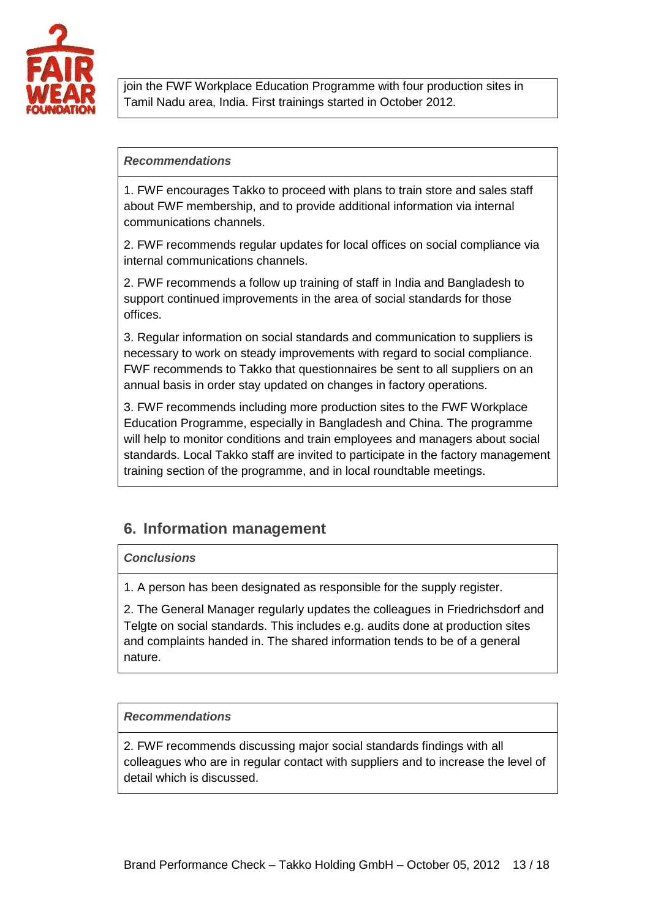

join the FWF Workplace Education Programme with four production sites in Tamil Nadu area, India. First trainings started in October 2012.

#### *Recommendations*

1. FWF encourages Takko to proceed with plans to train store and sales staff about FWF membership, and to provide additional information via internal communications channels.

2. FWF recommends regular updates for local offices on social compliance via internal communications channels.

2. FWF recommends a follow up training of staff in India and Bangladesh to support continued improvements in the area of social standards for those offices.

3. Regular information on social standards and communication to suppliers is necessary to work on steady improvements with regard to social compliance. FWF recommends to Takko that questionnaires be sent to all suppliers on an annual basis in order stay updated on changes in factory operations.

3. FWF recommends including more production sites to the FWF Workplace Education Programme, especially in Bangladesh and China. The programme will help to monitor conditions and train employees and managers about social standards. Local Takko staff are invited to participate in the factory management training section of the programme, and in local roundtable meetings.

# <span id="page-12-0"></span>**6. Information management**

### *Conclusions*

1. A person has been designated as responsible for the supply register.

2. The General Manager regularly updates the colleagues in Friedrichsdorf and Telgte on social standards. This includes e.g. audits done at production sites and complaints handed in. The shared information tends to be of a general nature.

### *Recommendations*

2. FWF recommends discussing major social standards findings with all colleagues who are in regular contact with suppliers and to increase the level of detail which is discussed.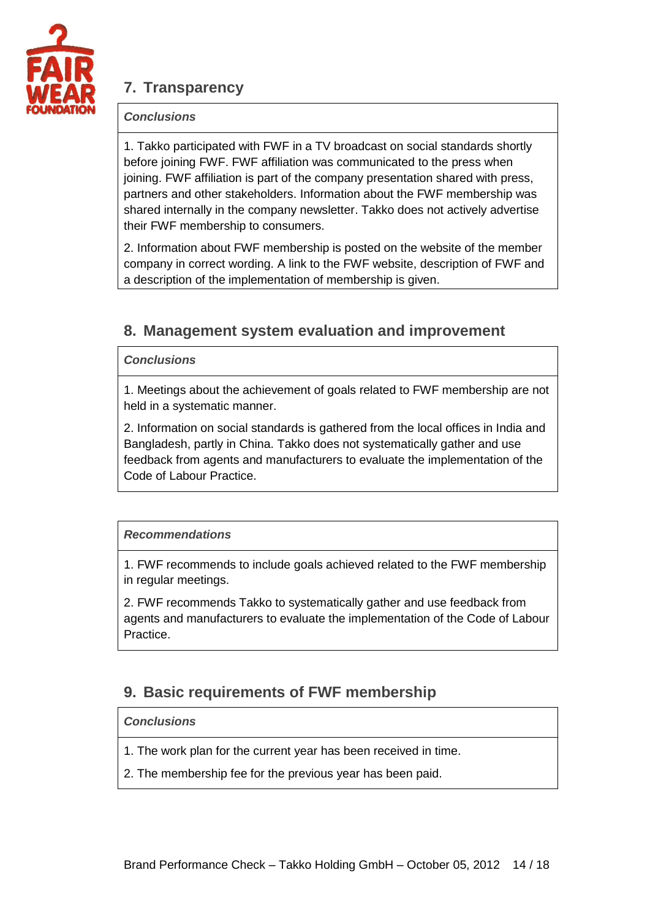

# <span id="page-13-0"></span>**7. Transparency**

### *Conclusions*

1. Takko participated with FWF in a TV broadcast on social standards shortly before joining FWF. FWF affiliation was communicated to the press when joining. FWF affiliation is part of the company presentation shared with press, partners and other stakeholders. Information about the FWF membership was shared internally in the company newsletter. Takko does not actively advertise their FWF membership to consumers.

2. Information about FWF membership is posted on the website of the member company in correct wording. A link to the FWF website, description of FWF and a description of the implementation of membership is given.

## <span id="page-13-1"></span>**8. Management system evaluation and improvement**

### *Conclusions*

1. Meetings about the achievement of goals related to FWF membership are not held in a systematic manner.

2. Information on social standards is gathered from the local offices in India and Bangladesh, partly in China. Takko does not systematically gather and use feedback from agents and manufacturers to evaluate the implementation of the Code of Labour Practice.

### *Recommendations*

1. FWF recommends to include goals achieved related to the FWF membership in regular meetings.

2. FWF recommends Takko to systematically gather and use feedback from agents and manufacturers to evaluate the implementation of the Code of Labour **Practice** 

## <span id="page-13-2"></span>**9. Basic requirements of FWF membership**

### *Conclusions*

- 1. The work plan for the current year has been received in time.
- 2. The membership fee for the previous year has been paid.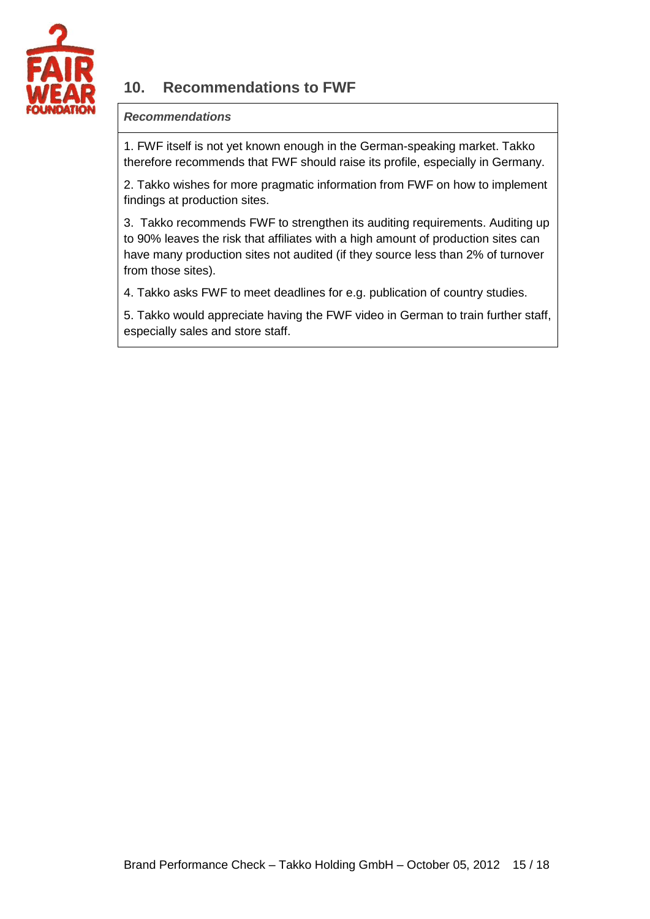

# <span id="page-14-0"></span>**10. Recommendations to FWF**

### *Recommendations*

1. FWF itself is not yet known enough in the German-speaking market. Takko therefore recommends that FWF should raise its profile, especially in Germany.

2. Takko wishes for more pragmatic information from FWF on how to implement findings at production sites.

3. Takko recommends FWF to strengthen its auditing requirements. Auditing up to 90% leaves the risk that affiliates with a high amount of production sites can have many production sites not audited (if they source less than 2% of turnover from those sites).

4. Takko asks FWF to meet deadlines for e.g. publication of country studies.

5. Takko would appreciate having the FWF video in German to train further staff, especially sales and store staff.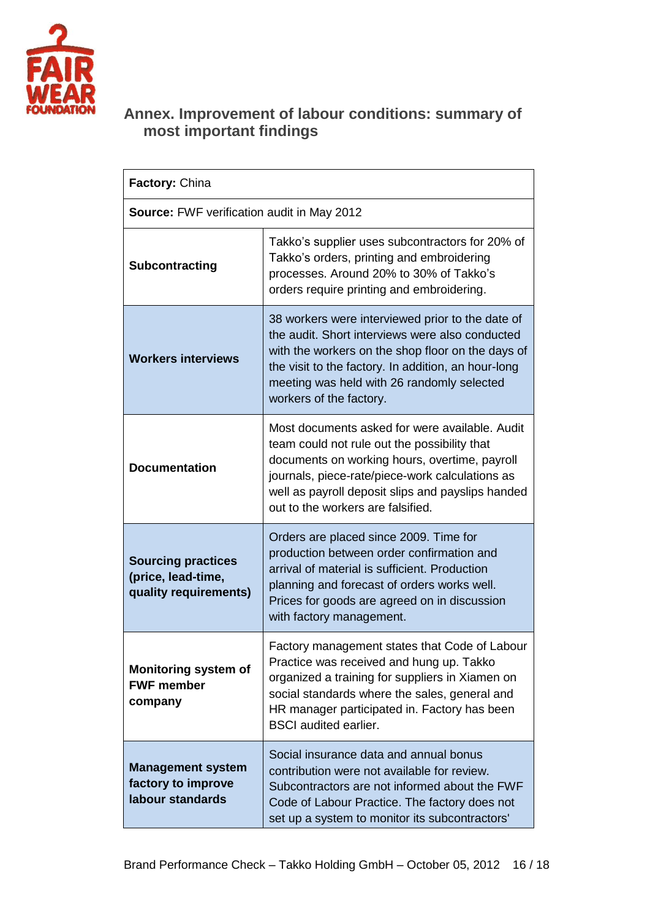

## **Annex. Improvement of labour conditions: summary of most important findings**

| <b>Factory: China</b>                                                    |                                                                                                                                                                                                                                                                                              |  |  |
|--------------------------------------------------------------------------|----------------------------------------------------------------------------------------------------------------------------------------------------------------------------------------------------------------------------------------------------------------------------------------------|--|--|
| Source: FWF verification audit in May 2012                               |                                                                                                                                                                                                                                                                                              |  |  |
| Subcontracting                                                           | Takko's supplier uses subcontractors for 20% of<br>Takko's orders, printing and embroidering<br>processes. Around 20% to 30% of Takko's<br>orders require printing and embroidering.                                                                                                         |  |  |
| <b>Workers interviews</b>                                                | 38 workers were interviewed prior to the date of<br>the audit. Short interviews were also conducted<br>with the workers on the shop floor on the days of<br>the visit to the factory. In addition, an hour-long<br>meeting was held with 26 randomly selected<br>workers of the factory.     |  |  |
| <b>Documentation</b>                                                     | Most documents asked for were available. Audit<br>team could not rule out the possibility that<br>documents on working hours, overtime, payroll<br>journals, piece-rate/piece-work calculations as<br>well as payroll deposit slips and payslips handed<br>out to the workers are falsified. |  |  |
| <b>Sourcing practices</b><br>(price, lead-time,<br>quality requirements) | Orders are placed since 2009. Time for<br>production between order confirmation and<br>arrival of material is sufficient. Production<br>planning and forecast of orders works well.<br>Prices for goods are agreed on in discussion<br>with factory management.                              |  |  |
| <b>Monitoring system of</b><br><b>FWF member</b><br>company              | Factory management states that Code of Labour<br>Practice was received and hung up. Takko<br>organized a training for suppliers in Xiamen on<br>social standards where the sales, general and<br>HR manager participated in. Factory has been<br><b>BSCI</b> audited earlier.                |  |  |
| <b>Management system</b><br>factory to improve<br>labour standards       | Social insurance data and annual bonus<br>contribution were not available for review.<br>Subcontractors are not informed about the FWF<br>Code of Labour Practice. The factory does not<br>set up a system to monitor its subcontractors'                                                    |  |  |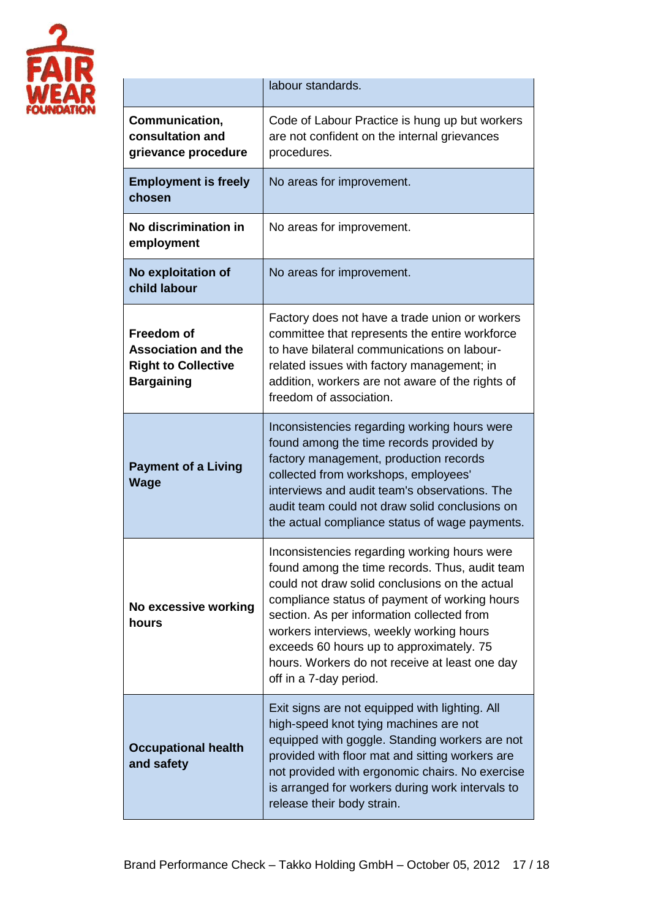

|                                                                                                    | labour standards.                                                                                                                                                                                                                                                                                                                                                                                                   |
|----------------------------------------------------------------------------------------------------|---------------------------------------------------------------------------------------------------------------------------------------------------------------------------------------------------------------------------------------------------------------------------------------------------------------------------------------------------------------------------------------------------------------------|
| Communication,<br>consultation and<br>grievance procedure                                          | Code of Labour Practice is hung up but workers<br>are not confident on the internal grievances<br>procedures.                                                                                                                                                                                                                                                                                                       |
| <b>Employment is freely</b><br>chosen                                                              | No areas for improvement.                                                                                                                                                                                                                                                                                                                                                                                           |
| No discrimination in<br>employment                                                                 | No areas for improvement.                                                                                                                                                                                                                                                                                                                                                                                           |
| No exploitation of<br>child labour                                                                 | No areas for improvement.                                                                                                                                                                                                                                                                                                                                                                                           |
| <b>Freedom of</b><br><b>Association and the</b><br><b>Right to Collective</b><br><b>Bargaining</b> | Factory does not have a trade union or workers<br>committee that represents the entire workforce<br>to have bilateral communications on labour-<br>related issues with factory management; in<br>addition, workers are not aware of the rights of<br>freedom of association.                                                                                                                                        |
| <b>Payment of a Living</b><br><b>Wage</b>                                                          | Inconsistencies regarding working hours were<br>found among the time records provided by<br>factory management, production records<br>collected from workshops, employees'<br>interviews and audit team's observations. The<br>audit team could not draw solid conclusions on<br>the actual compliance status of wage payments.                                                                                     |
| No excessive working<br>hours                                                                      | Inconsistencies regarding working hours were<br>found among the time records. Thus, audit team<br>could not draw solid conclusions on the actual<br>compliance status of payment of working hours<br>section. As per information collected from<br>workers interviews, weekly working hours<br>exceeds 60 hours up to approximately. 75<br>hours. Workers do not receive at least one day<br>off in a 7-day period. |
| <b>Occupational health</b><br>and safety                                                           | Exit signs are not equipped with lighting. All<br>high-speed knot tying machines are not<br>equipped with goggle. Standing workers are not<br>provided with floor mat and sitting workers are<br>not provided with ergonomic chairs. No exercise<br>is arranged for workers during work intervals to<br>release their body strain.                                                                                  |